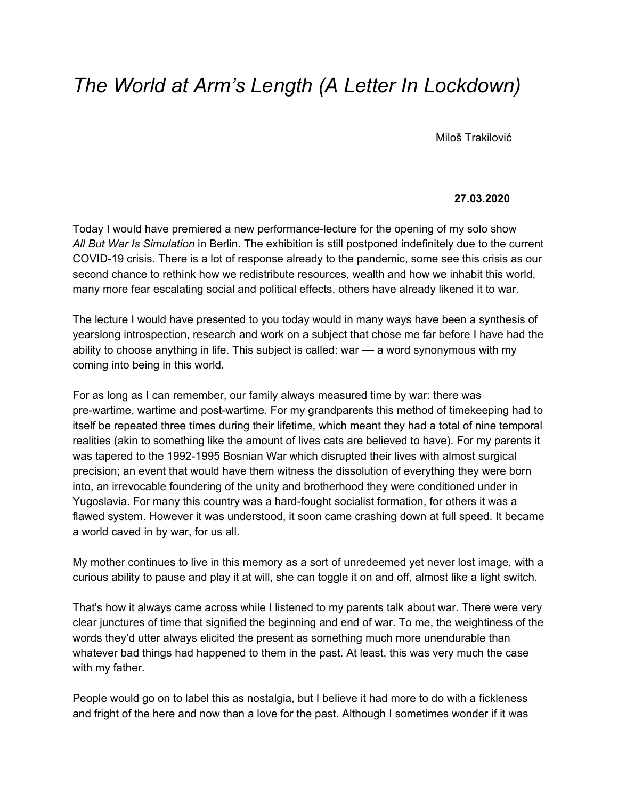## *The World at Arm's Length (A Letter In Lockdown)*

Miloš Trakilović

## **27.03.2020**

Today I would have premiered a new performance-lecture for the opening of my solo show *All But War Is Simulation* in Berlin. The exhibition is still postponed indefinitely due to the current COVID-19 crisis. There is a lot of response already to the pandemic, some see this crisis as our second chance to rethink how we redistribute resources, wealth and how we inhabit this world, many more fear escalating social and political effects, others have already likened it to war.

The lecture I would have presented to you today would in many ways have been a synthesis of yearslong introspection, research and work on a subject that chose me far before I have had the ability to choose anything in life. This subject is called: war — a word synonymous with my coming into being in this world.

For as long as I can remember, our family always measured time by war: there was pre-wartime, wartime and post-wartime. For my grandparents this method of timekeeping had to itself be repeated three times during their lifetime, which meant they had a total of nine temporal realities (akin to something like the amount of lives cats are believed to have). For my parents it was tapered to the 1992-1995 Bosnian War which disrupted their lives with almost surgical precision; an event that would have them witness the dissolution of everything they were born into, an irrevocable foundering of the unity and brotherhood they were conditioned under in Yugoslavia. For many this country was a hard-fought socialist formation, for others it was a flawed system. However it was understood, it soon came crashing down at full speed. It became a world caved in by war, for us all.

My mother continues to live in this memory as a sort of unredeemed yet never lost image, with a curious ability to pause and play it at will, she can toggle it on and off, almost like a light switch.

That's how it always came across while I listened to my parents talk about war. There were very clear junctures of time that signified the beginning and end of war. To me, the weightiness of the words they'd utter always elicited the present as something much more unendurable than whatever bad things had happened to them in the past. At least, this was very much the case with my father.

People would go on to label this as nostalgia, but I believe it had more to do with a fickleness and fright of the here and now than a love for the past. Although I sometimes wonder if it was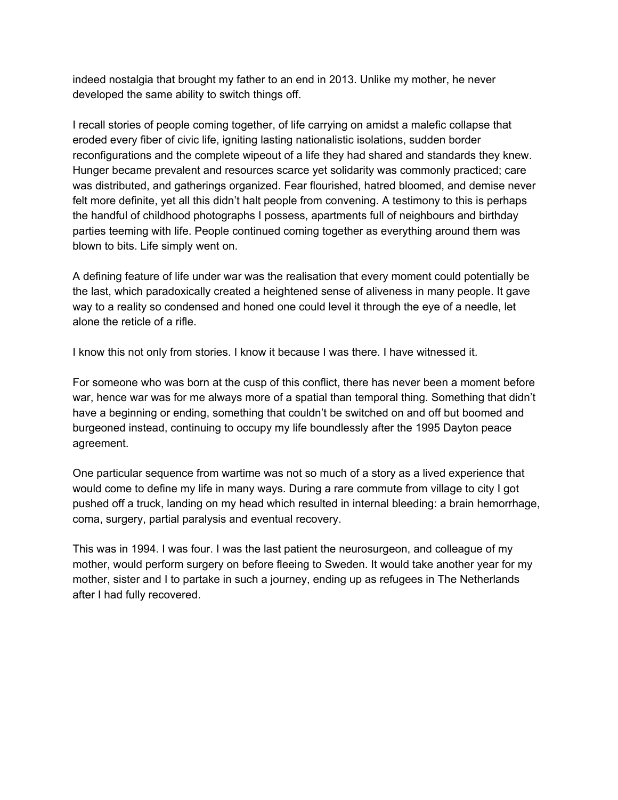indeed nostalgia that brought my father to an end in 2013. Unlike my mother, he never developed the same ability to switch things off.

I recall stories of people coming together, of life carrying on amidst a malefic collapse that eroded every fiber of civic life, igniting lasting nationalistic isolations, sudden border reconfigurations and the complete wipeout of a life they had shared and standards they knew. Hunger became prevalent and resources scarce yet solidarity was commonly practiced; care was distributed, and gatherings organized. Fear flourished, hatred bloomed, and demise never felt more definite, yet all this didn't halt people from convening. A testimony to this is perhaps the handful of childhood photographs I possess, apartments full of neighbours and birthday parties teeming with life. People continued coming together as everything around them was blown to bits. Life simply went on.

A defining feature of life under war was the realisation that every moment could potentially be the last, which paradoxically created a heightened sense of aliveness in many people. It gave way to a reality so condensed and honed one could level it through the eye of a needle, let alone the reticle of a rifle.

I know this not only from stories. I know it because I was there. I have witnessed it.

For someone who was born at the cusp of this conflict, there has never been a moment before war, hence war was for me always more of a spatial than temporal thing. Something that didn't have a beginning or ending, something that couldn't be switched on and off but boomed and burgeoned instead, continuing to occupy my life boundlessly after the 1995 Dayton peace agreement.

One particular sequence from wartime was not so much of a story as a lived experience that would come to define my life in many ways. During a rare commute from village to city I got pushed off a truck, landing on my head which resulted in internal bleeding: a brain hemorrhage, coma, surgery, partial paralysis and eventual recovery.

This was in 1994. I was four. I was the last patient the neurosurgeon, and colleague of my mother, would perform surgery on before fleeing to Sweden. It would take another year for my mother, sister and I to partake in such a journey, ending up as refugees in The Netherlands after I had fully recovered.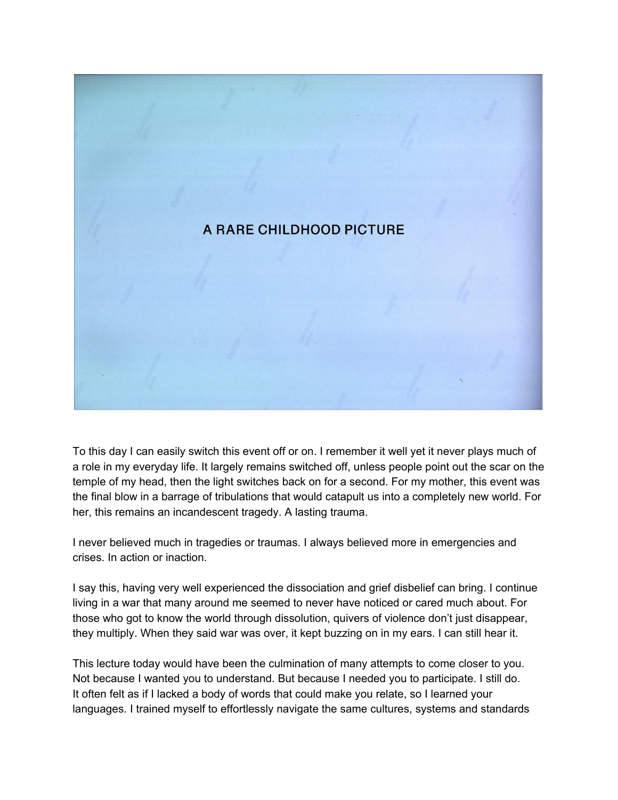

To this day I can easily switch this event off or on. I remember it well yet it never plays much of a role in my everyday life. It largely remains switched off, unless people point out the scar on the temple of my head, then the light switches back on for a second. For my mother, this event was the final blow in a barrage of tribulations that would catapult us into a completely new world. For her, this remains an incandescent tragedy. A lasting trauma.

I never believed much in tragedies or traumas. I always believed more in emergencies and crises. In action or inaction.

I say this, having very well experienced the dissociation and grief disbelief can bring. I continue living in a war that many around me seemed to never have noticed or cared much about. For those who got to know the world through dissolution, quivers of violence don't just disappear, they multiply. When they said war was over, it kept buzzing on in my ears. I can still hear it.

This lecture today would have been the culmination of many attempts to come closer to you. Not because I wanted you to understand. But because I needed you to participate. I still do. It often felt as if I lacked a body of words that could make you relate, so I learned your languages. I trained myself to effortlessly navigate the same cultures, systems and standards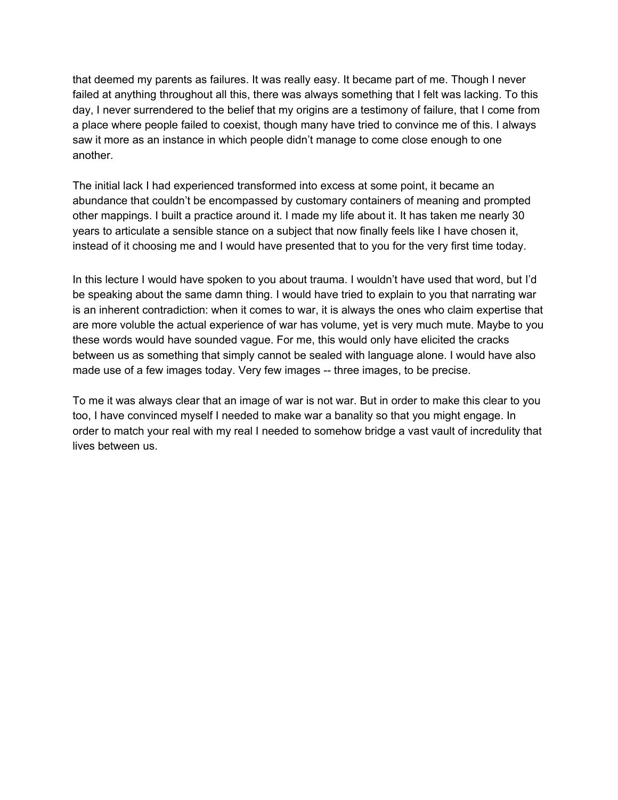that deemed my parents as failures. It was really easy. It became part of me. Though I never failed at anything throughout all this, there was always something that I felt was lacking. To this day, I never surrendered to the belief that my origins are a testimony of failure, that I come from a place where people failed to coexist, though many have tried to convince me of this. I always saw it more as an instance in which people didn't manage to come close enough to one another.

The initial lack I had experienced transformed into excess at some point, it became an abundance that couldn't be encompassed by customary containers of meaning and prompted other mappings. I built a practice around it. I made my life about it. It has taken me nearly 30 years to articulate a sensible stance on a subject that now finally feels like I have chosen it, instead of it choosing me and I would have presented that to you for the very first time today.

In this lecture I would have spoken to you about trauma. I wouldn't have used that word, but I'd be speaking about the same damn thing. I would have tried to explain to you that narrating war is an inherent contradiction: when it comes to war, it is always the ones who claim expertise that are more voluble the actual experience of war has volume, yet is very much mute. Maybe to you these words would have sounded vague. For me, this would only have elicited the cracks between us as something that simply cannot be sealed with language alone. I would have also made use of a few images today. Very few images -- three images, to be precise.

To me it was always clear that an image of war is not war. But in order to make this clear to you too, I have convinced myself I needed to make war a banality so that you might engage. In order to match your real with my real I needed to somehow bridge a vast vault of incredulity that lives between us.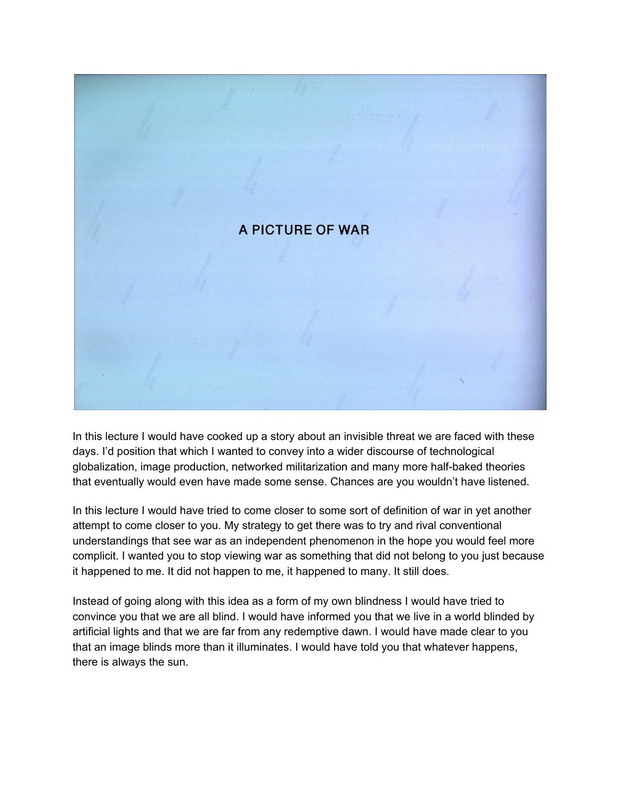

In this lecture I would have cooked up a story about an invisible threat we are faced with these days. I'd position that which I wanted to convey into a wider discourse of technological globalization, image production, networked militarization and many more half-baked theories that eventually would even have made some sense. Chances are you wouldn't have listened.

In this lecture I would have tried to come closer to some sort of definition of war in yet another attempt to come closer to you. My strategy to get there was to try and rival conventional understandings that see war as an independent phenomenon in the hope you would feel more complicit. I wanted you to stop viewing war as something that did not belong to you just because it happened to me. It did not happen to me, it happened to many. It still does.

Instead of going along with this idea as a form of my own blindness I would have tried to convince you that we are all blind. I would have informed you that we live in a world blinded by artificial lights and that we are far from any redemptive dawn. I would have made clear to you that an image blinds more than it illuminates. I would have told you that whatever happens, there is always the sun.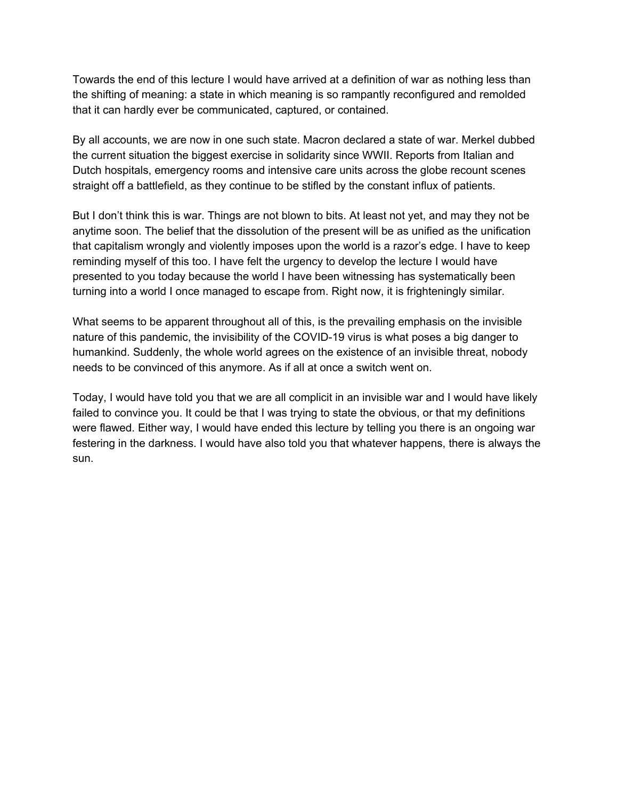Towards the end of this lecture I would have arrived at a definition of war as nothing less than the shifting of meaning: a state in which meaning is so rampantly reconfigured and remolded that it can hardly ever be communicated, captured, or contained.

By all accounts, we are now in one such state. Macron declared a state of war. Merkel dubbed the current situation the biggest exercise in solidarity since WWII. Reports from Italian and Dutch hospitals, emergency rooms and intensive care units across the globe recount scenes straight off a battlefield, as they continue to be stifled by the constant influx of patients.

But I don't think this is war. Things are not blown to bits. At least not yet, and may they not be anytime soon. The belief that the dissolution of the present will be as unified as the unification that capitalism wrongly and violently imposes upon the world is a razor's edge. I have to keep reminding myself of this too. I have felt the urgency to develop the lecture I would have presented to you today because the world I have been witnessing has systematically been turning into a world I once managed to escape from. Right now, it is frighteningly similar.

What seems to be apparent throughout all of this, is the prevailing emphasis on the invisible nature of this pandemic, the invisibility of the COVID-19 virus is what poses a big danger to humankind. Suddenly, the whole world agrees on the existence of an invisible threat, nobody needs to be convinced of this anymore. As if all at once a switch went on.

Today, I would have told you that we are all complicit in an invisible war and I would have likely failed to convince you. It could be that I was trying to state the obvious, or that my definitions were flawed. Either way, I would have ended this lecture by telling you there is an ongoing war festering in the darkness. I would have also told you that whatever happens, there is always the sun.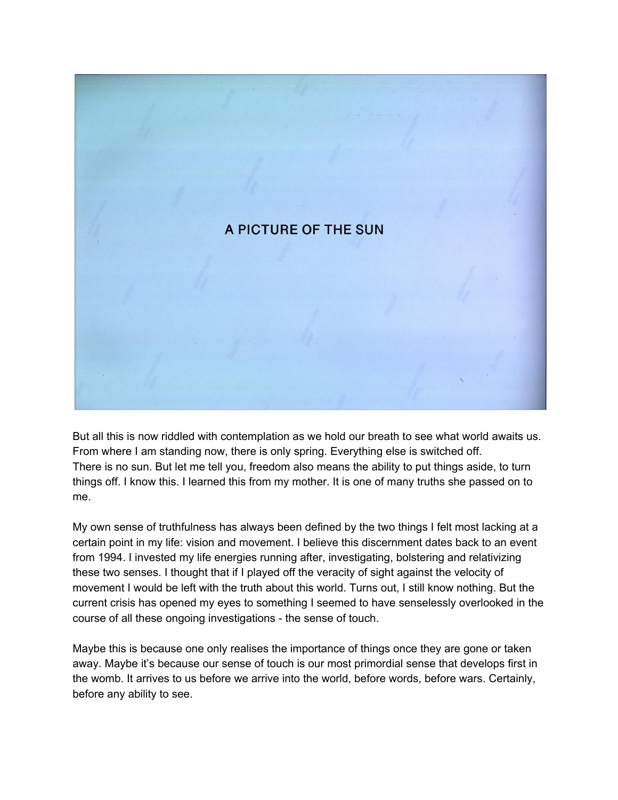

But all this is now riddled with contemplation as we hold our breath to see what world awaits us. From where I am standing now, there is only spring. Everything else is switched off. There is no sun. But let me tell you, freedom also means the ability to put things aside, to turn things off. I know this. I learned this from my mother. It is one of many truths she passed on to me.

My own sense of truthfulness has always been defined by the two things I felt most lacking at a certain point in my life: vision and movement. I believe this discernment dates back to an event from 1994. I invested my life energies running after, investigating, bolstering and relativizing these two senses. I thought that if I played off the veracity of sight against the velocity of movement I would be left with the truth about this world. Turns out, I still know nothing. But the current crisis has opened my eyes to something I seemed to have senselessly overlooked in the course of all these ongoing investigations - the sense of touch.

Maybe this is because one only realises the importance of things once they are gone or taken away. Maybe it's because our sense of touch is our most primordial sense that develops first in the womb. It arrives to us before we arrive into the world, before words, before wars. Certainly, before any ability to see.